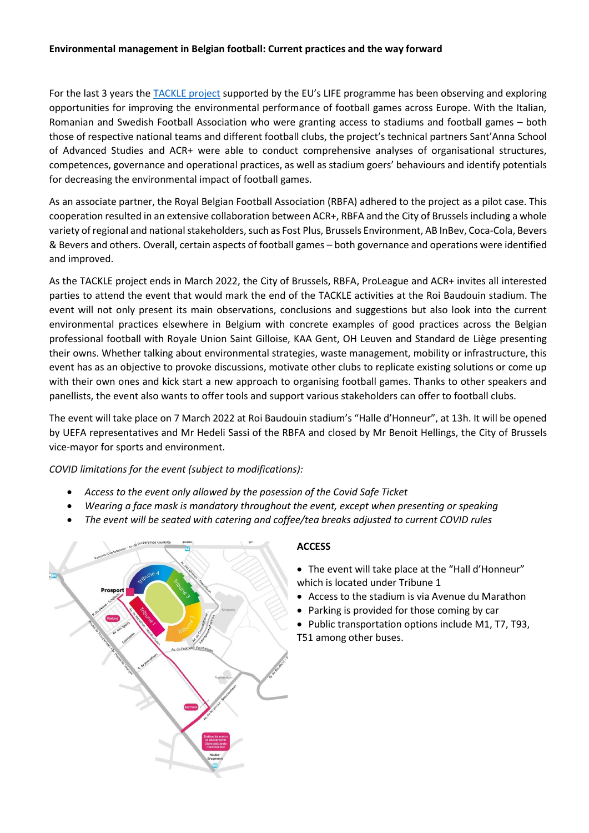## **Environmental management in Belgian football: Current practices and the way forward**

For the last 3 years the [TACKLE project](https://lifetackle.eu/) supported by the EU's LIFE programme has been observing and exploring opportunities for improving the environmental performance of football games across Europe. With the Italian, Romanian and Swedish Football Association who were granting access to stadiums and football games – both those of respective national teams and different football clubs, the project's technical partners Sant'Anna School of Advanced Studies and ACR+ were able to conduct comprehensive analyses of organisational structures, competences, governance and operational practices, as well as stadium goers' behaviours and identify potentials for decreasing the environmental impact of football games.

As an associate partner, the Royal Belgian Football Association (RBFA) adhered to the project as a pilot case. This cooperation resulted in an extensive collaboration between ACR+, RBFA and the City of Brussels including a whole variety of regional and national stakeholders, such as Fost Plus, Brussels Environment, AB InBev, Coca-Cola, Bevers & Bevers and others. Overall, certain aspects of football games – both governance and operations were identified and improved.

As the TACKLE project ends in March 2022, the City of Brussels, RBFA, ProLeague and ACR+ invites all interested parties to attend the event that would mark the end of the TACKLE activities at the Roi Baudouin stadium. The event will not only present its main observations, conclusions and suggestions but also look into the current environmental practices elsewhere in Belgium with concrete examples of good practices across the Belgian professional football with Royale Union Saint Gilloise, KAA Gent, OH Leuven and Standard de Liège presenting their owns. Whether talking about environmental strategies, waste management, mobility or infrastructure, this event has as an objective to provoke discussions, motivate other clubs to replicate existing solutions or come up with their own ones and kick start a new approach to organising football games. Thanks to other speakers and panellists, the event also wants to offer tools and support various stakeholders can offer to football clubs.

The event will take place on 7 March 2022 at Roi Baudouin stadium's "Halle d'Honneur", at 13h. It will be opened by UEFA representatives and Mr Hedeli Sassi of the RBFA and closed by Mr Benoit Hellings, the City of Brussels vice-mayor for sports and environment.

*COVID limitations for the event (subject to modifications):*

- *Access to the event only allowed by the posession of the Covid Safe Ticket*
- *Wearing a face mask is mandatory throughout the event, except when presenting or speaking*
- *The event will be seated with catering and coffee/tea breaks adjusted to current COVID rules*



# **ACCESS**

- The event will take place at the "Hall d'Honneur" which is located under Tribune 1
- Access to the stadium is via Avenue du Marathon
- Parking is provided for those coming by car
- Public transportation options include M1, T7, T93, T51 among other buses.